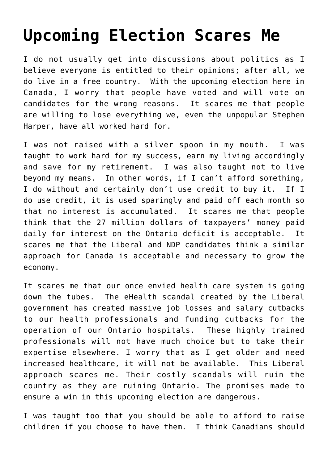## **[Upcoming Election Scares Me](https://loreeebee.ca/2015/10/15/what-scares-me-about-the-upcoming-election/)**

I do not usually get into discussions about politics as I believe everyone is entitled to their opinions; after all, we do live in a free country. With the upcoming election here in Canada, I worry that people have voted and will vote on candidates for the wrong reasons. It scares me that people are willing to lose everything we, even the unpopular Stephen Harper, have all worked hard for.

I was not raised with a silver spoon in my mouth. I was taught to work hard for my success, earn my living accordingly and save for my retirement. I was also taught not to live beyond my means. In other words, if I can't afford something, I do without and certainly don't use credit to buy it. If I do use credit, it is used sparingly and paid off each month so that no interest is accumulated. It scares me that people think that the 27 million dollars of taxpayers' money paid daily for interest on the Ontario deficit is acceptable. It scares me that the Liberal and NDP candidates think a similar approach for Canada is acceptable and necessary to grow the economy.

It scares me that our once envied health care system is going down the tubes. The eHealth scandal created by the Liberal government has created massive job losses and salary cutbacks to our health professionals and funding cutbacks for the operation of our Ontario hospitals. These highly trained professionals will not have much choice but to take their expertise elsewhere. I worry that as I get older and need increased healthcare, it will not be available. This Liberal approach scares me. Their costly scandals will ruin the country as they are ruining Ontario. The promises made to ensure a win in this upcoming election are dangerous.

I was taught too that you should be able to afford to raise children if you choose to have them. I think Canadians should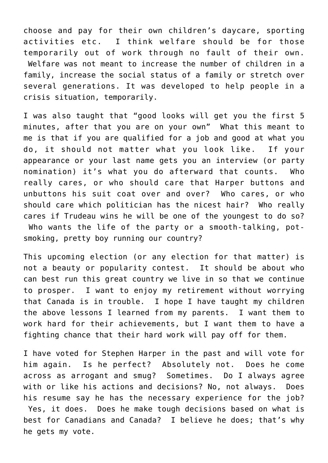choose and pay for their own children's daycare, sporting activities etc. I think welfare should be for those temporarily out of work through no fault of their own. Welfare was not meant to increase the number of children in a family, increase the social status of a family or stretch over several generations. It was developed to help people in a crisis situation, temporarily.

I was also taught that "good looks will get you the first 5 minutes, after that you are on your own" What this meant to me is that if you are qualified for a job and good at what you do, it should not matter what you look like. If your appearance or your last name gets you an interview (or party nomination) it's what you do afterward that counts. Who really cares, or who should care that Harper buttons and unbuttons his suit coat over and over? Who cares, or who should care which politician has the nicest hair? Who really cares if Trudeau wins he will be one of the youngest to do so? Who wants the life of the party or a smooth-talking, potsmoking, pretty boy running our country?

This upcoming election (or any election for that matter) is not a beauty or popularity contest. It should be about who can best run this great country we live in so that we continue to prosper. I want to enjoy my retirement without worrying that Canada is in trouble. I hope I have taught my children the above lessons I learned from my parents. I want them to work hard for their achievements, but I want them to have a fighting chance that their hard work will pay off for them.

I have voted for Stephen Harper in the past and will vote for him again. Is he perfect? Absolutely not. Does he come across as arrogant and smug? Sometimes. Do I always agree with or like his actions and decisions? No, not always. Does his resume say he has the necessary experience for the job? Yes, it does. Does he make tough decisions based on what is best for Canadians and Canada? I believe he does; that's why he gets my vote.